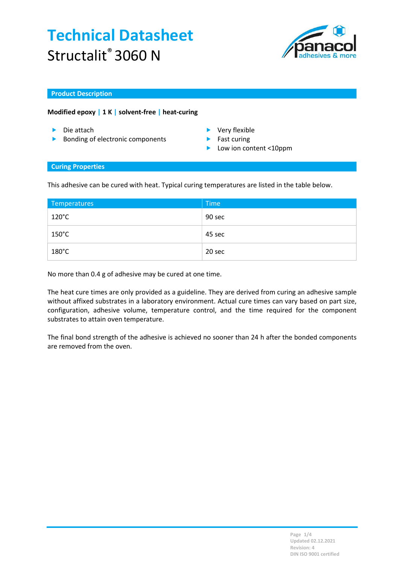# Technical Datasheet Structalit<sup>®</sup> 3060 N



#### Product Description

### Modified epoxy | 1 K | solvent-free | heat-curing

- 
- ▶ Bonding of electronic components ▶ Fast curing
- Die attach Very flexible
	-
	- Low ion content <10ppm

#### Curing Properties

This adhesive can be cured with heat. Typical curing temperatures are listed in the table below.

| Temperatures    | Time   |
|-----------------|--------|
| $120^{\circ}$ C | 90 sec |
| $150^{\circ}$ C | 45 sec |
| $180^{\circ}$ C | 20 sec |

No more than 0.4 g of adhesive may be cured at one time.

The heat cure times are only provided as a guideline. They are derived from curing an adhesive sample without affixed substrates in a laboratory environment. Actual cure times can vary based on part size, configuration, adhesive volume, temperature control, and the time required for the component substrates to attain oven temperature.

The final bond strength of the adhesive is achieved no sooner than 24 h after the bonded components are removed from the oven.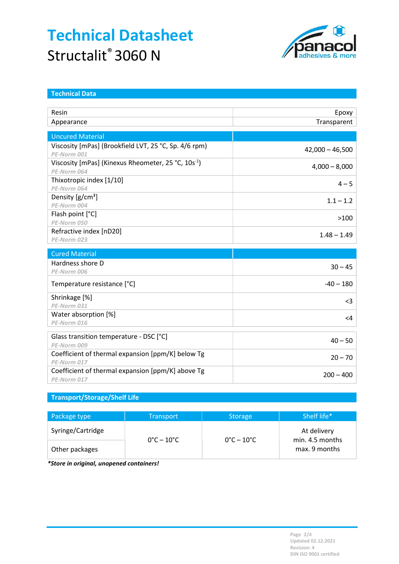# Technical Datasheet Structalit<sup>®</sup> 3060 N



| <b>Technical Data</b>                                           |                   |
|-----------------------------------------------------------------|-------------------|
|                                                                 |                   |
| Resin                                                           | Epoxy             |
| Appearance                                                      | Transparent       |
|                                                                 |                   |
| <b>Uncured Material</b>                                         |                   |
| Viscosity [mPas] (Brookfield LVT, 25 °C, Sp. 4/6 rpm)           | $42,000 - 46,500$ |
| PE-Norm 001                                                     |                   |
| Viscosity [mPas] (Kinexus Rheometer, 25 °C, 10s <sup>-1</sup> ) | $4,000 - 8,000$   |
| PE-Norm 064                                                     |                   |
| Thixotropic index [1/10]<br>PE-Norm 064                         | $4 - 5$           |
| Density $[g/cm^3]$                                              |                   |
| PE-Norm 004                                                     | $1.1 - 1.2$       |
| Flash point [°C]                                                |                   |
| PE-Norm 050                                                     | >100              |
| Refractive index [nD20]                                         |                   |
| PE-Norm 023                                                     | $1.48 - 1.49$     |
|                                                                 |                   |
| <b>Cured Material</b>                                           |                   |
| Hardness shore D                                                | $30 - 45$         |
| PE-Norm 006                                                     |                   |
| Temperature resistance [°C]                                     | $-40 - 180$       |
| Shrinkage [%]                                                   |                   |
| PE-Norm 031                                                     | $3$               |
| Water absorption [%]                                            | $<$ 4             |
| PE-Norm 016                                                     |                   |
|                                                                 |                   |
| Glass transition temperature - DSC [°C]<br>PE-Norm 009          | $40 - 50$         |
| Coefficient of thermal expansion [ppm/K] below Tg               |                   |
| PE-Norm 017                                                     | $20 - 70$         |
| Coefficient of thermal expansion [ppm/K] above Tg               |                   |
| PE-Norm 017                                                     | $200 - 400$       |
|                                                                 |                   |

## Transport/Storage/Shelf Life

| Package type      | <b>Transport</b>                | <b>Storage</b>                  | Shelf life*                      |
|-------------------|---------------------------------|---------------------------------|----------------------------------|
| Syringe/Cartridge | $0^{\circ}$ C – 10 $^{\circ}$ C | $0^{\circ}$ C – 10 $^{\circ}$ C | At delivery                      |
| Other packages    |                                 |                                 | min. 4.5 months<br>max. 9 months |

\*Store in original, unopened containers!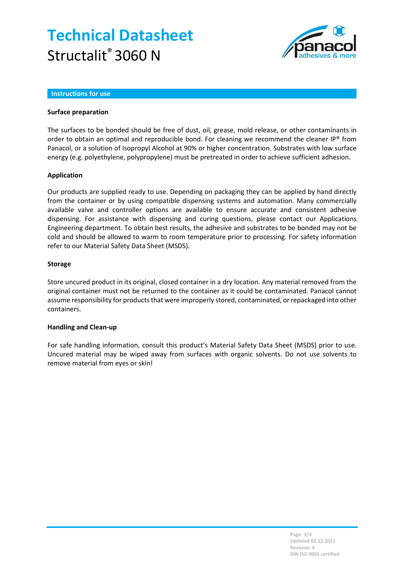# Technical Datasheet Structalit<sup>®</sup> 3060 N



#### Instructions for use

### Surface preparation

The surfaces to be bonded should be free of dust, oil, grease, mold release, or other contaminants in order to obtain an optimal and reproducible bond. For cleaning we recommend the cleaner IP® from Panacol, or a solution of Isopropyl Alcohol at 90% or higher concentration. Substrates with low surface energy (e.g. polyethylene, polypropylene) must be pretreated in order to achieve sufficient adhesion.

### Application

Our products are supplied ready to use. Depending on packaging they can be applied by hand directly from the container or by using compatible dispensing systems and automation. Many commercially available valve and controller options are available to ensure accurate and consistent adhesive dispensing. For assistance with dispensing and curing questions, please contact our Applications Engineering department. To obtain best results, the adhesive and substrates to be bonded may not be cold and should be allowed to warm to room temperature prior to processing. For safety information refer to our Material Safety Data Sheet (MSDS).

### Storage

Store uncured product in its original, closed container in a dry location. Any material removed from the original container must not be returned to the container as it could be contaminated. Panacol cannot assume responsibility for products that were improperly stored, contaminated, or repackaged into other containers.

#### Handling and Clean-up

For safe handling information, consult this product's Material Safety Data Sheet (MSDS) prior to use. Uncured material may be wiped away from surfaces with organic solvents. Do not use solvents to remove material from eyes or skin!